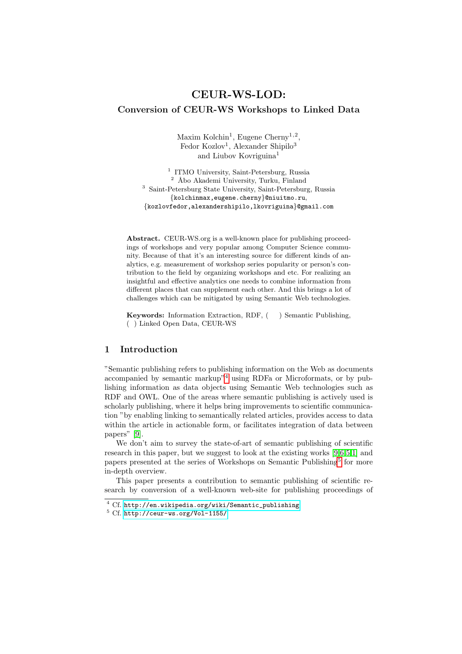# CEUR-WS-LOD: Conversion of CEUR-WS Workshops to Linked Data

Maxim Kolchin<sup>1</sup>, Eugene Cherny<sup>1,2</sup>, Fedor Kozlov<sup>1</sup>, Alexander Shipilo<sup>3</sup> and Liubov Kovriguina<sup>1</sup>

<sup>1</sup> ITMO University, Saint-Petersburg, Russia  $^2\,$  Åbo Akademi University, Turku, Finland <sup>3</sup> Saint-Petersburg State University, Saint-Petersburg, Russia {kolchinmax,eugene.cherny}@niuitmo.ru, {kozlovfedor,alexandershipilo,lkovriguina}@gmail.com

Abstract. CEUR-WS.org is a well-known place for publishing proceedings of workshops and very popular among Computer Science community. Because of that it's an interesting source for different kinds of analytics, e.g. measurement of workshop series popularity or person's contribution to the field by organizing workshops and etc. For realizing an insightful and effective analytics one needs to combine information from different places that can supplement each other. And this brings a lot of challenges which can be mitigated by using Semantic Web technologies.

Keywords: Information Extraction, RDF, ( ) Semantic Publishing, ( ) Linked Open Data, CEUR-WS

### 1 Introduction

"Semantic publishing refers to publishing information on the Web as documents accompanied by semantic markup"[4](#page-0-0) using RDFa or Microformats, or by publishing information as data objects using Semantic Web technologies such as RDF and OWL. One of the areas where semantic publishing is actively used is scholarly publishing, where it helps bring improvements to scientific communication "by enabling linking to semantically related articles, provides access to data within the article in actionable form, or facilitates integration of data between papers" [\[9\]](#page-10-0).

We don't aim to survey the state-of-art of semantic publishing of scientific research in this paper, but we suggest to look at the existing works [\[9](#page-10-0)[,6,](#page-10-1)[5,](#page-10-2)[1\]](#page-9-0) and papers presented at the series of Workshops on Semantic Publishing<sup>[5](#page-0-1)</sup> for more in-depth overview.

This paper presents a contribution to semantic publishing of scientific research by conversion of a well-known web-site for publishing proceedings of

<span id="page-0-0"></span><sup>4</sup> Cf. [http://en.wikipedia.org/wiki/Semantic\\_publishing](http://en.wikipedia.org/wiki/Semantic_publishing)

<span id="page-0-1"></span><sup>5</sup> Cf. <http://ceur-ws.org/Vol-1155/>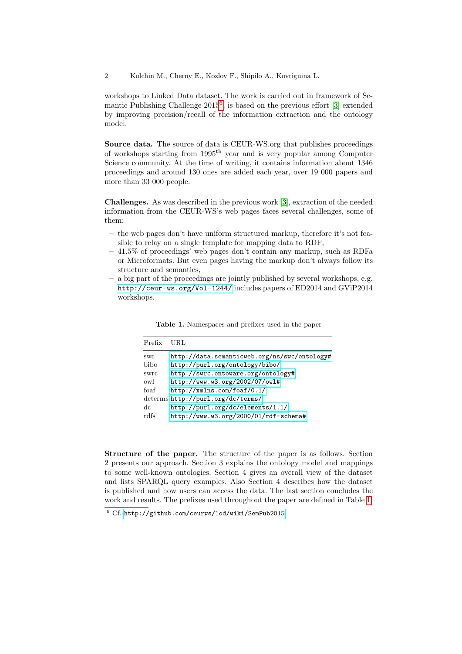2 Kolchin M., Cherny E., Kozlov F., Shipilo A., Kovriguina L.

workshops to Linked Data dataset. The work is carried out in framework of Semantic Publishing Challenge  $2015^6$  $2015^6$ , is based on the previous effort [\[3\]](#page-10-3) extended by improving precision/recall of the information extraction and the ontology model.

Source data. The source of data is CEUR-WS.org that publishes proceedings of workshops starting from 1995th year and is very popular among Computer Science community. At the time of writing, it contains information about 1346 proceedings and around 130 ones are added each year, over 19 000 papers and more than 33 000 people.

Challenges. As was described in the previous work [\[3\]](#page-10-3), extraction of the needed information from the CEUR-WS's web pages faces several challenges, some of them:

- the web pages don't have uniform structured markup, therefore it's not feasible to relay on a single template for mapping data to RDF,
- 41.5% of proceedings' web pages don't contain any markup, such as RDFa or Microformats. But even pages having the markup don't always follow its structure and semantics,
- a big part of the proceedings are jointly published by several workshops, e.g. <http://ceur-ws.org/Vol-1244/> includes papers of ED2014 and GViP2014 workshops.

| Prefix     | URL.                                         |
|------------|----------------------------------------------|
| <b>SWC</b> | http://data.semanticweb.org/ns/swc/ontology# |
| bibo       | http://purl.org/ontology/bibo/               |
| swrc       | http://swrc.ontoware.org/ontology#           |
| owl        | http://www.w3.org/2002/07/owl#               |
| foaf       | http://xmlns.com/foaf/0.1/                   |
|            | dcterms http://purl.org/dc/terms/            |
| dc         | http://purl.org/dc/elements/1.1/             |
| rdfs       | http://www.w3.org/2000/01/rdf-schema#        |

<span id="page-1-1"></span>Table 1. Namespaces and prefixes used in the paper

Structure of the paper. The structure of the paper is as follows. Section 2 presents our approach. Section 3 explains the ontology model and mappings to some well-known ontologies. Section 4 gives an overall view of the dataset and lists SPARQL query examples. Also Section 4 describes how the dataset is published and how users can access the data. The last section concludes the work and results. The prefixes used throughout the paper are defined in Table [1.](#page-1-1)

<span id="page-1-0"></span><sup>6</sup> Cf. <http://github.com/ceurws/lod/wiki/SemPub2015>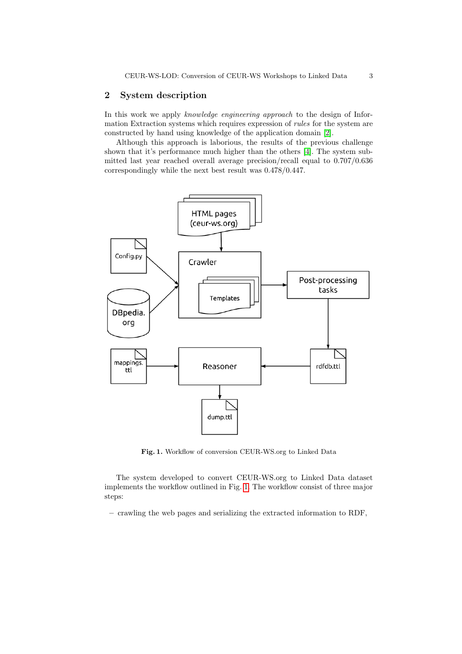## 2 System description

In this work we apply knowledge engineering approach to the design of Information Extraction systems which requires expression of rules for the system are constructed by hand using knowledge of the application domain [\[2\]](#page-10-4).

Although this approach is laborious, the results of the previous challenge shown that it's performance much higher than the others [\[4\]](#page-10-5). The system submitted last year reached overall average precision/recall equal to 0.707/0.636 correspondingly while the next best result was 0.478/0.447.



<span id="page-2-0"></span>Fig. 1. Workflow of conversion CEUR-WS.org to Linked Data

The system developed to convert CEUR-WS.org to Linked Data dataset implements the workflow outlined in Fig. [1.](#page-2-0) The workflow consist of three major steps:

– crawling the web pages and serializing the extracted information to RDF,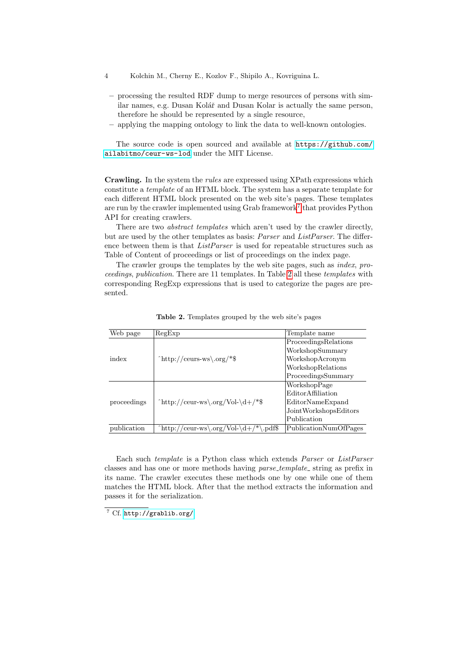- 4 Kolchin M., Cherny E., Kozlov F., Shipilo A., Kovriguina L.
- processing the resulted RDF dump to merge resources of persons with similar names, e.g. Dusan Kolář and Dusan Kolar is actually the same person, therefore he should be represented by a single resource,
- applying the mapping ontology to link the data to well-known ontologies.

The source code is open sourced and available at [https://github.com/](https://github.com/ailabitmo/ceur-ws-lod) [ailabitmo/ceur-ws-lod](https://github.com/ailabitmo/ceur-ws-lod) under the MIT License.

Crawling. In the system the rules are expressed using XPath expressions which constitute a template of an HTML block. The system has a separate template for each different HTML block presented on the web site's pages. These templates are run by the crawler implemented using Grab framework<sup>[7](#page-3-0)</sup> that provides Python API for creating crawlers.

There are two *abstract templates* which aren't used by the crawler directly, but are used by the other templates as basis: Parser and ListParser. The difference between them is that *ListParser* is used for repeatable structures such as Table of Content of proceedings or list of proceedings on the index page.

The crawler groups the templates by the web site pages, such as index, proceedings, publication. There are 11 templates. In Table [2](#page-3-1) all these templates with corresponding RegExp expressions that is used to categorize the pages are presented.

| Web page    | RegExp                                                | Template name         |
|-------------|-------------------------------------------------------|-----------------------|
|             | $^{\circ}$ http://ceurs-ws\.org/*\$                   | ProceedingsRelations  |
|             |                                                       | WorkshopSummary       |
| index       |                                                       | WorkshopAcronym       |
|             |                                                       | WorkshopRelations     |
|             |                                                       | ProceedingsSummary    |
|             | $^{\text{thttp://ceur-ws\,org/Vol-\d+/*\$}$           | WorkshopPage          |
|             |                                                       | Editor Affiliation    |
| proceedings |                                                       | EditorNameExpand      |
|             |                                                       | JointWorkshopsEditors |
|             |                                                       | Publication           |
| publication | $\hat{\text{http://ceur-ws\.org/Vol\ddag}}$<br>.pdf\$ | PublicationNumOfPages |

<span id="page-3-1"></span>Table 2. Templates grouped by the web site's pages

Each such template is a Python class which extends Parser or ListParser classes and has one or more methods having *parse\_template\_* string as prefix in its name. The crawler executes these methods one by one while one of them matches the HTML block. After that the method extracts the information and passes it for the serialization.

<span id="page-3-0"></span><sup>7</sup> Cf. <http://grablib.org/>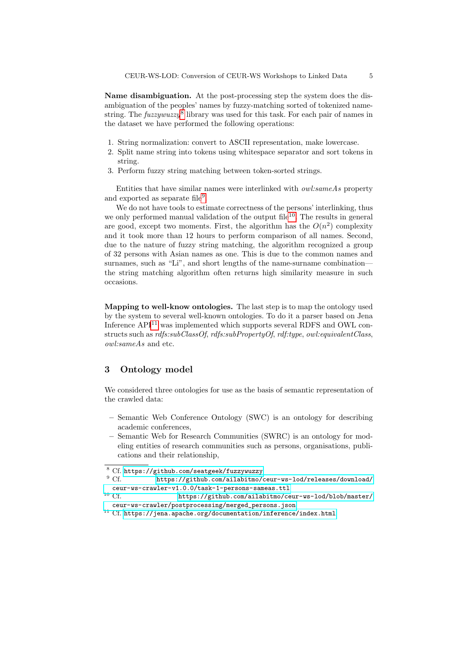Name disambiguation. At the post-processing step the system does the disambiguation of the peoples' names by fuzzy-matching sorted of tokenized namestring. The  $fuzzywuzzy$ <sup>[8](#page-4-0)</sup> library was used for this task. For each pair of names in the dataset we have performed the following operations:

- 1. String normalization: convert to ASCII representation, make lowercase.
- 2. Split name string into tokens using whitespace separator and sort tokens in string.
- 3. Perform fuzzy string matching between token-sorted strings.

Entities that have similar names were interlinked with owl:sameAs property and exported as separate file<sup>[9](#page-4-1)</sup>.

We do not have tools to estimate correctness of the persons' interlinking, thus we only performed manual validation of the output file<sup>[10](#page-4-2)</sup>. The results in general are good, except two moments. First, the algorithm has the  $O(n^2)$  complexity and it took more than 12 hours to perform comparison of all names. Second, due to the nature of fuzzy string matching, the algorithm recognized a group of 32 persons with Asian names as one. This is due to the common names and surnames, such as "Li", and short lengths of the name-surname combination the string matching algorithm often returns high similarity measure in such occasions.

Mapping to well-know ontologies. The last step is to map the ontology used by the system to several well-known ontologies. To do it a parser based on Jena Inference  $API<sup>11</sup>$  $API<sup>11</sup>$  $API<sup>11</sup>$  was implemented which supports several RDFS and OWL constructs such as  $rdfs:subClassOf, rdfs:subPropertyOf, rdf:type, owl:equivalent Class,$ owl:sameAs and etc.

## 3 Ontology model

We considered three ontologies for use as the basis of semantic representation of the crawled data:

- Semantic Web Conference Ontology (SWC) is an ontology for describing academic conferences,
- Semantic Web for Research Communities (SWRC) is an ontology for modeling entities of research communities such as persons, organisations, publications and their relationship,

- <span id="page-4-1"></span>[https://github.com/ailabitmo/ceur-ws-lod/releases/download/](https://github.com/ailabitmo/ceur-ws-lod/releases/download/ceur-ws-crawler-v1.0.0/task-1-persons-sameas.ttl) [ceur-ws-crawler-v1.0.0/task-1-persons-sameas.ttl](https://github.com/ailabitmo/ceur-ws-lod/releases/download/ceur-ws-crawler-v1.0.0/task-1-persons-sameas.ttl)
- <span id="page-4-2"></span>[https://github.com/ailabitmo/ceur-ws-lod/blob/master/](https://github.com/ailabitmo/ceur-ws-lod/blob/master/ceur-ws-crawler/postprocessing/merged_persons.json) [ceur-ws-crawler/postprocessing/merged\\_persons.json](https://github.com/ailabitmo/ceur-ws-lod/blob/master/ceur-ws-crawler/postprocessing/merged_persons.json)

<span id="page-4-0"></span> $\frac{8}{9}$  Cf. <https://github.com/seatgeek/fuzzywuzzy><br>  $\frac{9}{9}$  Cf. https://github.com/ailabitmo/

<span id="page-4-3"></span> $^{11}$  Cf. <https://jena.apache.org/documentation/inference/index.html>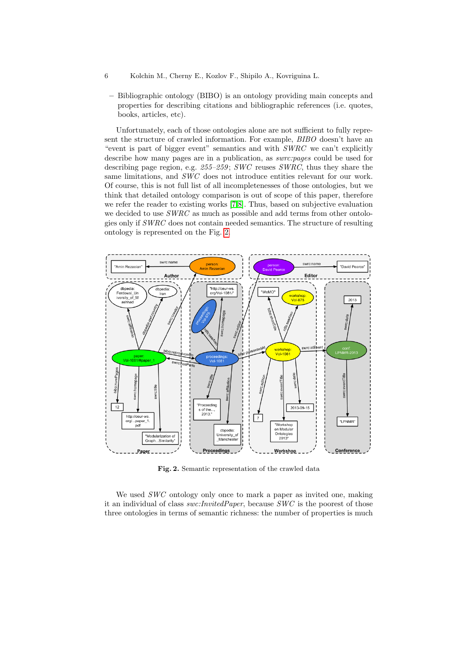- 6 Kolchin M., Cherny E., Kozlov F., Shipilo A., Kovriguina L.
	- Bibliographic ontology (BIBO) is an ontology providing main concepts and properties for describing citations and bibliographic references (i.e. quotes, books, articles, etc).

Unfortunately, each of those ontologies alone are not sufficient to fully represent the structure of crawled information. For example, BIBO doesn't have an "event is part of bigger event" semantics and with SWRC we can't explicitly describe how many pages are in a publication, as *swrc:pages* could be used for describing page region, e.g.  $255-259$ ; SWC reuses SWRC, thus they share the same limitations, and SWC does not introduce entities relevant for our work. Of course, this is not full list of all incompletenesses of those ontologies, but we think that detailed ontology comparison is out of scope of this paper, therefore we refer the reader to existing works [\[7,](#page-10-6)[8\]](#page-10-7). Thus, based on subjective evaluation we decided to use  $SWRC$  as much as possible and add terms from other ontologies only if SWRC does not contain needed semantics. The structure of resulting ontology is represented on the Fig. [2.](#page-5-0)



<span id="page-5-0"></span>Fig. 2. Semantic representation of the crawled data

We used SWC ontology only once to mark a paper as invited one, making it an individual of class swc:InvitedPaper, because SWC is the poorest of those three ontologies in terms of semantic richness: the number of properties is much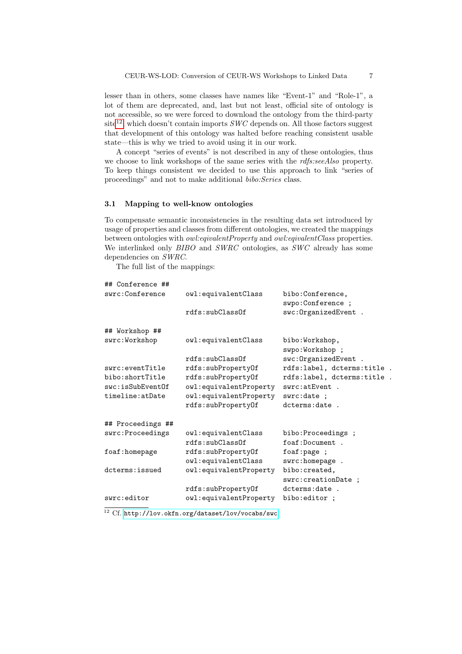lesser than in others, some classes have names like "Event-1" and "Role-1", a lot of them are deprecated, and, last but not least, official site of ontology is not accessible, so we were forced to download the ontology from the third-party  $site^{12}$  $site^{12}$  $site^{12}$ , which doesn't contain imports *SWC* depends on. All those factors suggest that development of this ontology was halted before reaching consistent usable state—this is why we tried to avoid using it in our work.

A concept "series of events" is not described in any of these ontologies, thus we choose to link workshops of the same series with the *rdfs:seeAlso* property. To keep things consistent we decided to use this approach to link "series of proceedings" and not to make additional bibo:Series class.

#### 3.1 Mapping to well-know ontologies

To compensate semantic inconsistencies in the resulting data set introduced by usage of properties and classes from different ontologies, we created the mappings between ontologies with owl:eqivalentProperty and owl:eqivalentClass properties. We interlinked only BIBO and SWRC ontologies, as SWC already has some dependencies on SWRC.

The full list of the mappings:

| ## Conference ##            |                        |                                   |
|-----------------------------|------------------------|-----------------------------------|
| swrc:Conference             | owl:equivalentClass    | bibo:Conference,                  |
|                             |                        | swpo:Conference ;                 |
|                             | rdfs:subClassOf        | swc: OrganizedEvent .             |
| ## Workshop ##              |                        |                                   |
| swrc:Workshop               | owl:equivalentClass    | bibo:Workshop,<br>swpo:Workshop ; |
|                             | rdfs:subClassOf        | swc: OrganizedEvent .             |
| $s$ wr $c$ : event $Ti$ tle | rdfs:subPropertyOf     | rdfs:label, dcterms:title.        |
| bibo:shortTitle             | rdfs:subPropertyOf     | rdfs:label, dcterms:title.        |
| swc: isSubEventOf           | owl:equivalentProperty | swrc:atEvent .                    |
| timeline:atDate             | owl:equivalentProperty | swrc:date ;                       |
|                             | rdfs:subPropertyOf     | dcterms:date.                     |
| ## Proceedings ##           |                        |                                   |
| swrc: Proceedings           | owl:equivalentClass    | bibo: Proceedings;                |
|                             | rdfs:subC1ass0f        | foaf:Document.                    |
| foaf:homepage               | rdfs:subPropertyOf     | foaf:page ;                       |
|                             | owl:equivalentClass    | swrc:homepage .                   |
| dcterms: issued             | owl:equivalentProperty | bibo: created,                    |
|                             |                        | swrc: creationDate ;              |
|                             | rdfs:subPropertyOf     | dcterms:date.                     |
| swrc:editor                 | owl:equivalentProperty | bibo:editor ;                     |
|                             |                        |                                   |

<span id="page-6-0"></span><sup>12</sup> Cf. <http://lov.okfn.org/dataset/lov/vocabs/swc>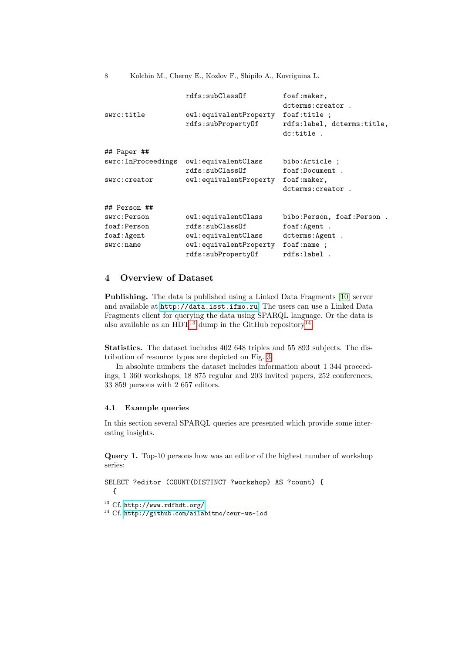8 Kolchin M., Cherny E., Kozlov F., Shipilo A., Kovriguina L.

| swrc:title               | rdfs:subC1ass0f<br>owl:equivalentProperty<br>rdfs:subPropertyOf | foaf:maker,<br>dcterms: creator.<br>foaf:title ;<br>rdfs:label, dcterms:title,<br>dc:title. |
|--------------------------|-----------------------------------------------------------------|---------------------------------------------------------------------------------------------|
| ## Paper ##              |                                                                 |                                                                                             |
|                          |                                                                 |                                                                                             |
| swrc: InProceedings      | owl:equivalentClass                                             | bibo: Article ;                                                                             |
|                          | rdfs:subClassOf                                                 | foaf:Document.                                                                              |
| swrc: creator            | owl:equivalentProperty                                          | foaf:maker,                                                                                 |
|                          |                                                                 | dcterms: creator.                                                                           |
| ## Person ##             |                                                                 |                                                                                             |
| swrc:Person              | owl:equivalentClass                                             | bibo:Person, foaf:Person.                                                                   |
| foaf:Person              | rdfs:subClassOf                                                 | foaf:Agent.                                                                                 |
| foaf:Agent               | owl:equivalentClass                                             | dcterms: Agent .                                                                            |
| $s$ <i>wrc</i> : $n$ ame | owl:equivalentProperty                                          | foaf:name ;                                                                                 |
|                          | rdfs:subPropertyOf                                              | rdfs:label.                                                                                 |

# 4 Overview of Dataset

Publishing. The data is published using a Linked Data Fragments [\[10\]](#page-10-8) server and available at <http://data.isst.ifmo.ru>. The users can use a Linked Data Fragments client for querying the data using SPARQL language. Or the data is also available as an HDT<sup>[13](#page-7-0)</sup> dump in the GitHub repository<sup>[14](#page-7-1)</sup>.

Statistics. The dataset includes 402 648 triples and 55 893 subjects. The distribution of resource types are depicted on Fig. [3.](#page-8-0)

In absolute numbers the dataset includes information about 1 344 proceedings, 1 360 workshops, 18 875 regular and 203 invited papers, 252 conferences, 33 859 persons with 2 657 editors.

### 4.1 Example queries

In this section several SPARQL queries are presented which provide some interesting insights.

Query 1. Top-10 persons how was an editor of the highest number of workshop series:

```
SELECT ?editor (COUNT(DISTINCT ?workshop) AS ?count) {
 {
```
<span id="page-7-0"></span><sup>13</sup> Cf. <http://www.rdfhdt.org/>

<span id="page-7-1"></span><sup>14</sup> Cf. <http://github.com/ailabitmo/ceur-ws-lod>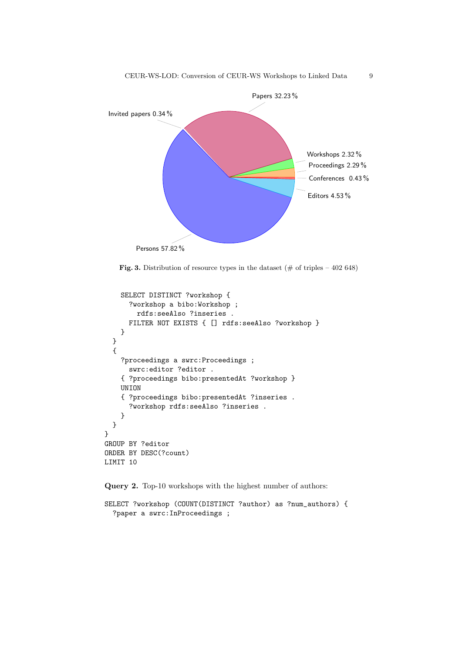

<span id="page-8-0"></span>Fig. 3. Distribution of resource types in the dataset ( $\#$  of triples – 402 648)

```
SELECT DISTINCT ?workshop {
      ?workshop a bibo:Workshop ;
        rdfs:seeAlso ?inseries .
      FILTER NOT EXISTS { [] rdfs:seeAlso ?workshop }
    }
  }
  {
    ?proceedings a swrc:Proceedings ;
      swrc:editor ?editor .
    { ?proceedings bibo:presentedAt ?workshop }
    UNION
    { ?proceedings bibo:presentedAt ?inseries .
      ?workshop rdfs:seeAlso ?inseries .
    }
  }
}
GROUP BY ?editor
ORDER BY DESC(?count)
LIMIT 10
```
Query 2. Top-10 workshops with the highest number of authors:

```
SELECT ?workshop (COUNT(DISTINCT ?author) as ?num_authors) {
  ?paper a swrc:InProceedings ;
```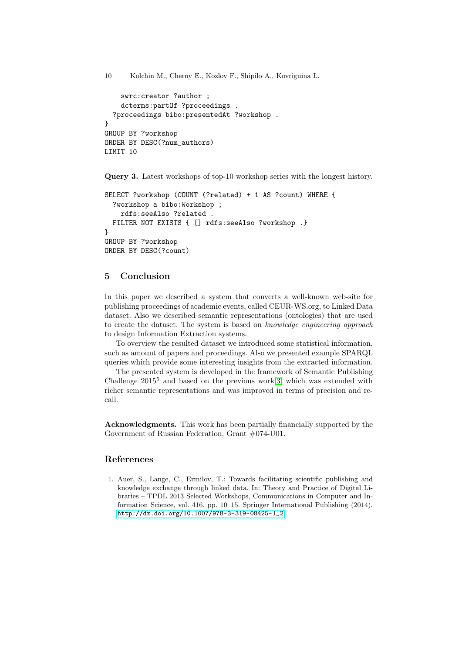```
10 Kolchin M., Cherny E., Kozlov F., Shipilo A., Kovriguina L.
```

```
swrc:creator ?author ;
    dcterms:partOf ?proceedings .
  ?proceedings bibo:presentedAt ?workshop .
}
GROUP BY ?workshop
ORDER BY DESC(?num_authors)
LIMIT 10
```
Query 3. Latest workshops of top-10 workshop series with the longest history.

```
SELECT ?workshop (COUNT (?related) + 1 AS ?count) WHERE {
  ?workshop a bibo:Workshop ;
    rdfs:seeAlso ?related .
  FILTER NOT EXISTS { [] rdfs:seeAlso ?workshop .}
}
GROUP BY ?workshop
ORDER BY DESC(?count)
```
# 5 Conclusion

In this paper we described a system that converts a well-known web-site for publishing proceedings of academic events, called CEUR-WS.org, to Linked Data dataset. Also we described semantic representations (ontologies) that are used to create the dataset. The system is based on knowledge engineering approach to design Information Extraction systems.

To overview the resulted dataset we introduced some statistical information, such as amount of papers and proceedings. Also we presented example SPARQL queries which provide some interesting insights from the extracted information.

The presented system is developed in the framework of Semantic Publishing Challenge  $2015^5$  and based on the previous work[\[3\]](#page-10-3) which was extended with richer semantic representations and was improved in terms of precision and recall.

Acknowledgments. This work has been partially financially supported by the Government of Russian Federation, Grant #074-U01.

# References

<span id="page-9-0"></span>1. Auer, S., Lange, C., Ermilov, T.: Towards facilitating scientific publishing and knowledge exchange through linked data. In: Theory and Practice of Digital Libraries – TPDL 2013 Selected Workshops, Communications in Computer and Information Science, vol. 416, pp. 10–15. Springer International Publishing (2014), [http://dx.doi.org/10.1007/978-3-319-08425-1\\_2](http://dx.doi.org/10.1007/978-3-319-08425-1_2)